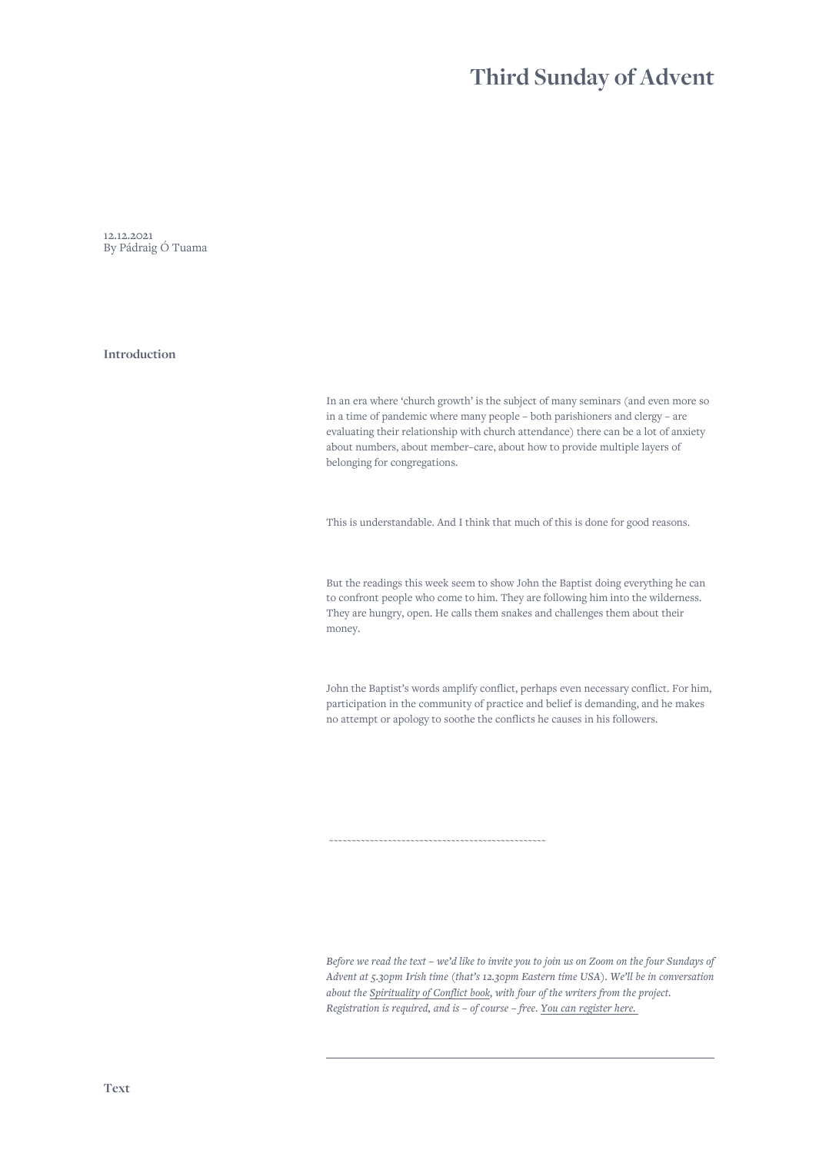## **Third Sunday of Advent**

12.12.2021 By Pádraig Ó Tuama

**Introduction**

In an era where 'church growth' is the subject of many seminars (and even more so in a time of pandemic where many people – both parishioners and clergy – are evaluating their relationship with church attendance) there can be a lot of anxiety about numbers, about member–care, about how to provide multiple layers of belonging for congregations.

This is understandable. And I think that much of this is done for good reasons.

But the readings this week seem to show John the Baptist doing everything he can to confront people who come to him. They are following him into the wilderness. They are hungry, open. He calls them snakes and challenges them about their money.

John the Baptist's words amplify conflict, perhaps even necessary conflict. For him, participation in the community of practice and belief is demanding, and he makes no attempt or apology to soothe the conflicts he causes in his followers.

~~~~~~~~~~~~~~~~~~~~~~~~~~~~~~~~~~~~~~~~~~~~~~~~

*Before we read the text – we'd like to invite you to join us on Zoom on the four Sundays of Advent at 5.30pm Irish time (that's 12.30pm Eastern time USA). We'll be in conversation about the [Spirituality of Conflict book,](https://canterburypress.hymnsam.co.uk/books/9781786223999/what-were-you-arguing-about-along-the-way) with four of the writers from the project. Registration is required, and is – of course – free. [You can register here.](https://us06web.zoom.us/meeting/register/tZcpde2qqT8sGtPaveCorT1BhaP9V_nIXWrK)*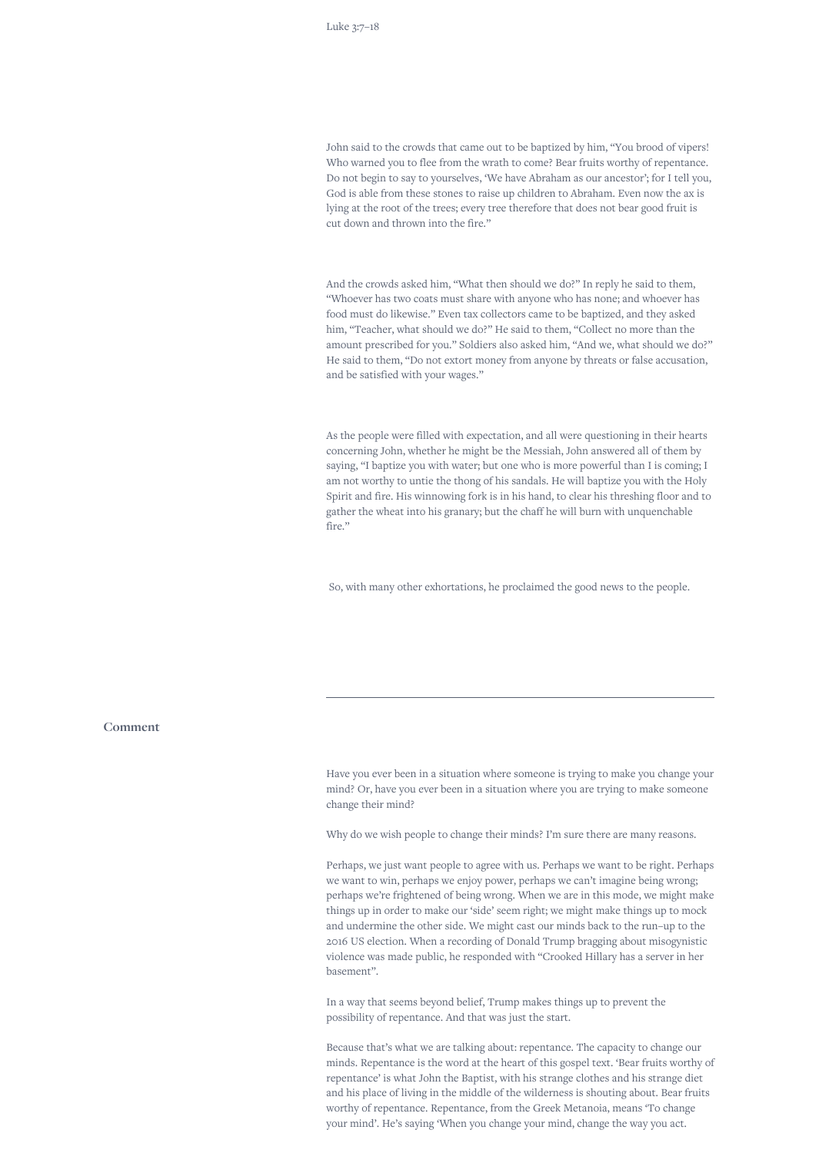John said to the crowds that came out to be baptized by him, "You brood of vipers! Who warned you to flee from the wrath to come? Bear fruits worthy of repentance. Do not begin to say to yourselves, 'We have Abraham as our ancestor'; for I tell you, God is able from these stones to raise up children to Abraham. Even now the ax is lying at the root of the trees; every tree therefore that does not bear good fruit is cut down and thrown into the fire."

And the crowds asked him, "What then should we do?" In reply he said to them, "Whoever has two coats must share with anyone who has none; and whoever has food must do likewise." Even tax collectors came to be baptized, and they asked him, "Teacher, what should we do?" He said to them, "Collect no more than the amount prescribed for you." Soldiers also asked him, "And we, what should we do?" He said to them, "Do not extort money from anyone by threats or false accusation, and be satisfied with your wages."

As the people were filled with expectation, and all were questioning in their hearts concerning John, whether he might be the Messiah, John answered all of them by saying, "I baptize you with water; but one who is more powerful than I is coming; I am not worthy to untie the thong of his sandals. He will baptize you with the Holy Spirit and fire. His winnowing fork is in his hand, to clear his threshing floor and to gather the wheat into his granary; but the chaff he will burn with unquenchable fire."

So, with many other exhortations, he proclaimed the good news to the people.

## **Comment**

Have you ever been in a situation where someone is trying to make you change your mind? Or, have you ever been in a situation where you are trying to make someone change their mind?

Why do we wish people to change their minds? I'm sure there are many reasons.

Perhaps, we just want people to agree with us. Perhaps we want to be right. Perhaps we want to win, perhaps we enjoy power, perhaps we can't imagine being wrong; perhaps we're frightened of being wrong. When we are in this mode, we might make things up in order to make our 'side' seem right; we might make things up to mock and undermine the other side. We might cast our minds back to the run–up to the 2016 US election. When a recording of Donald Trump bragging about misogynistic violence was made public, he responded with "Crooked Hillary has a server in her basement".

In a way that seems beyond belief, Trump makes things up to prevent the possibility of repentance. And that was just the start.

Because that's what we are talking about: repentance. The capacity to change our minds. Repentance is the word at the heart of this gospel text. 'Bear fruits worthy of repentance' is what John the Baptist, with his strange clothes and his strange diet and his place of living in the middle of the wilderness is shouting about. Bear fruits worthy of repentance. Repentance, from the Greek Metanoia, means 'To change your mind'. He's saying 'When you change your mind, change the way you act.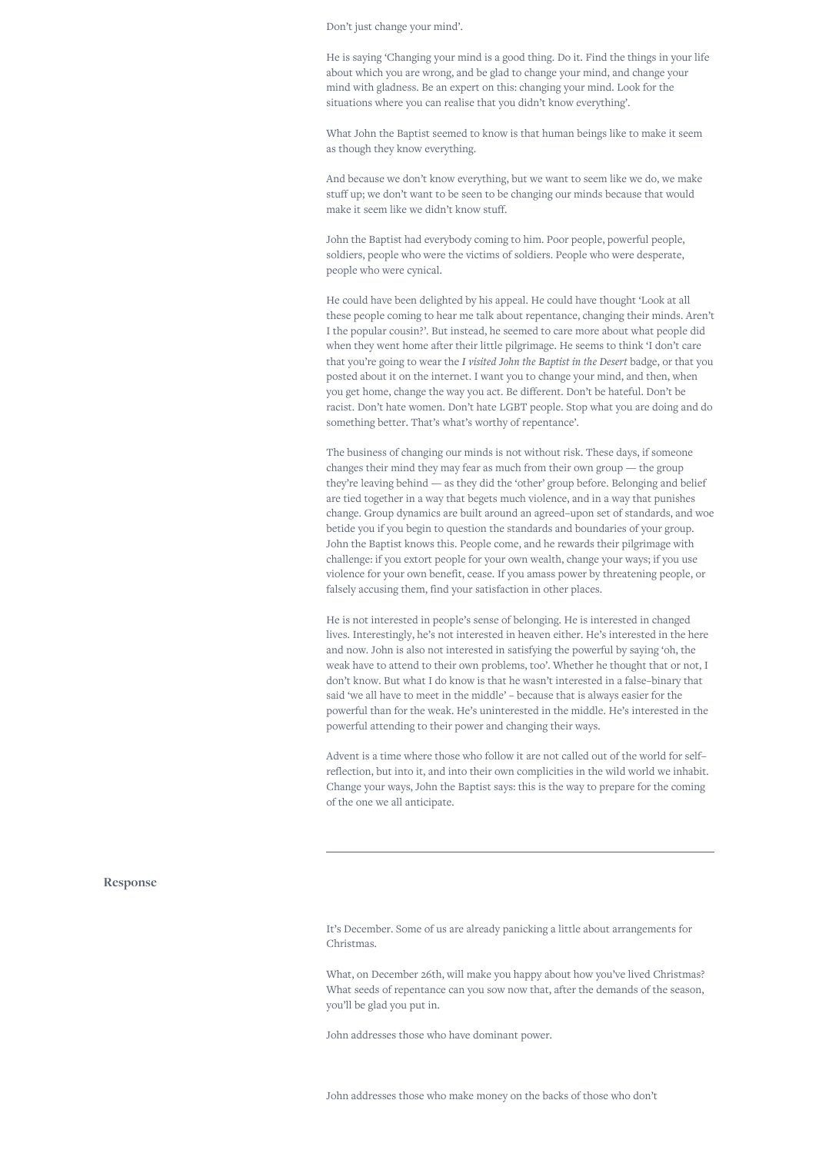Don't just change your mind'.

He is saying 'Changing your mind is a good thing. Do it. Find the things in your life about which you are wrong, and be glad to change your mind, and change your mind with gladness. Be an expert on this: changing your mind. Look for the situations where you can realise that you didn't know everything'.

What John the Baptist seemed to know is that human beings like to make it seem as though they know everything.

And because we don't know everything, but we want to seem like we do, we make stuff up; we don't want to be seen to be changing our minds because that would make it seem like we didn't know stuff.

John the Baptist had everybody coming to him. Poor people, powerful people, soldiers, people who were the victims of soldiers. People who were desperate, people who were cynical.

He could have been delighted by his appeal. He could have thought 'Look at all these people coming to hear me talk about repentance, changing their minds. Aren't I the popular cousin?'. But instead, he seemed to care more about what people did when they went home after their little pilgrimage. He seems to think 'I don't care that you're going to wear the *I visited John the Baptist in the Desert* badge, or that you posted about it on the internet. I want you to change your mind, and then, when you get home, change the way you act. Be different. Don't be hateful. Don't be racist. Don't hate women. Don't hate LGBT people. Stop what you are doing and do something better. That's what's worthy of repentance'.

The business of changing our minds is not without risk. These days, if someone changes their mind they may fear as much from their own group — the group they're leaving behind — as they did the 'other' group before. Belonging and belief are tied together in a way that begets much violence, and in a way that punishes change. Group dynamics are built around an agreed–upon set of standards, and woe betide you if you begin to question the standards and boundaries of your group. John the Baptist knows this. People come, and he rewards their pilgrimage with challenge: if you extort people for your own wealth, change your ways; if you use violence for your own benefit, cease. If you amass power by threatening people, or falsely accusing them, find your satisfaction in other places.

He is not interested in people's sense of belonging. He is interested in changed lives. Interestingly, he's not interested in heaven either. He's interested in the here and now. John is also not interested in satisfying the powerful by saying 'oh, the weak have to attend to their own problems, too'. Whether he thought that or not, I don't know. But what I do know is that he wasn't interested in a false–binary that said 'we all have to meet in the middle' – because that is always easier for the powerful than for the weak. He's uninterested in the middle. He's interested in the powerful attending to their power and changing their ways.

Advent is a time where those who follow it are not called out of the world for self– reflection, but into it, and into their own complicities in the wild world we inhabit. Change your ways, John the Baptist says: this is the way to prepare for the coming of the one we all anticipate.

**Response**

It's December. Some of us are already panicking a little about arrangements for Christmas.

What, on December 26th, will make you happy about how you've lived Christmas? What seeds of repentance can you sow now that, after the demands of the season, you'll be glad you put in.

John addresses those who have dominant power.